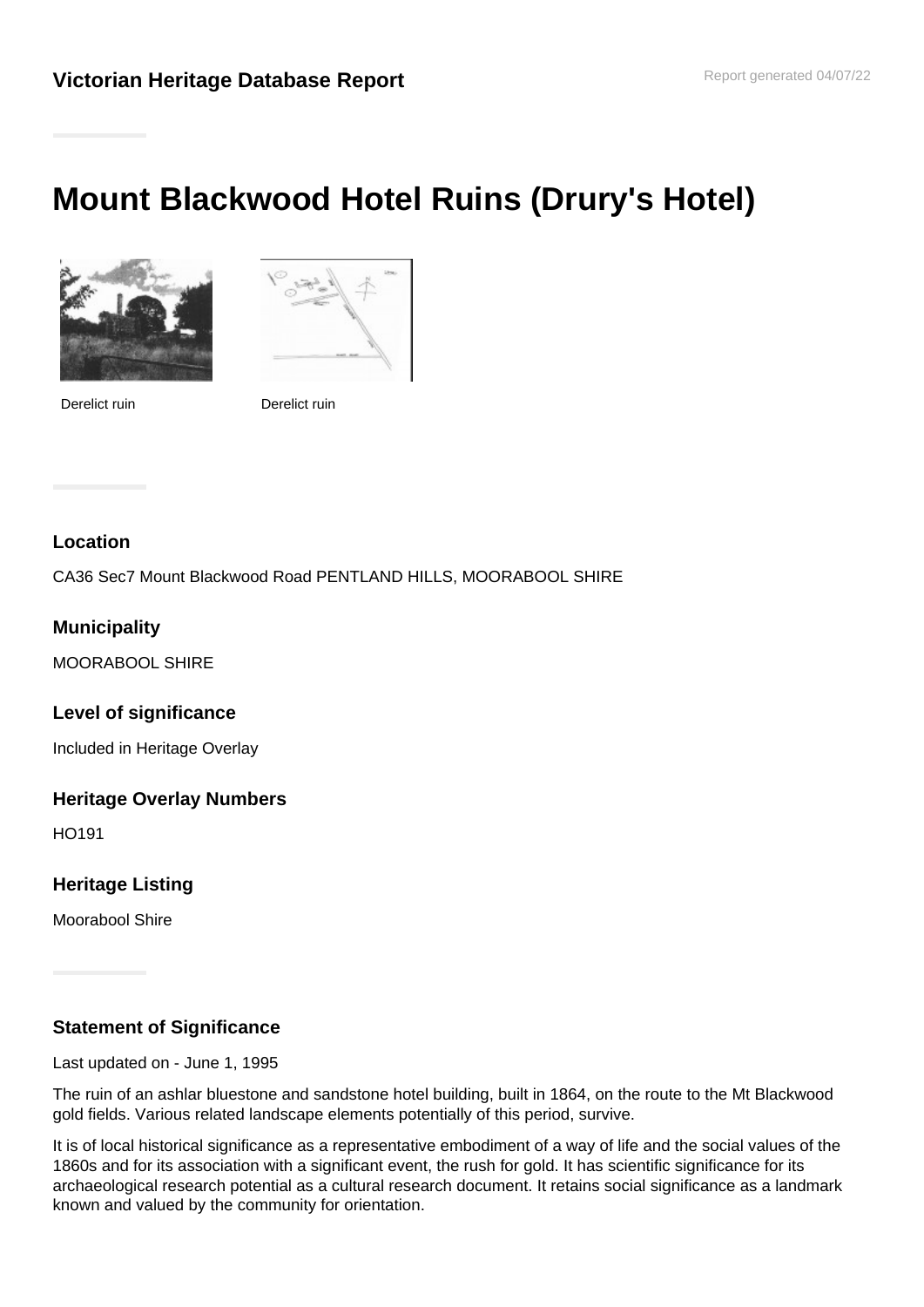# **Mount Blackwood Hotel Ruins (Drury's Hotel)**



Derelict ruin Derelict ruin



# **Location**

CA36 Sec7 Mount Blackwood Road PENTLAND HILLS, MOORABOOL SHIRE

# **Municipality**

MOORABOOL SHIRE

### **Level of significance**

Included in Heritage Overlay

### **Heritage Overlay Numbers**

HO191

### **Heritage Listing**

Moorabool Shire

### **Statement of Significance**

Last updated on - June 1, 1995

The ruin of an ashlar bluestone and sandstone hotel building, built in 1864, on the route to the Mt Blackwood gold fields. Various related landscape elements potentially of this period, survive.

It is of local historical significance as a representative embodiment of a way of life and the social values of the 1860s and for its association with a significant event, the rush for gold. It has scientific significance for its archaeological research potential as a cultural research document. It retains social significance as a landmark known and valued by the community for orientation.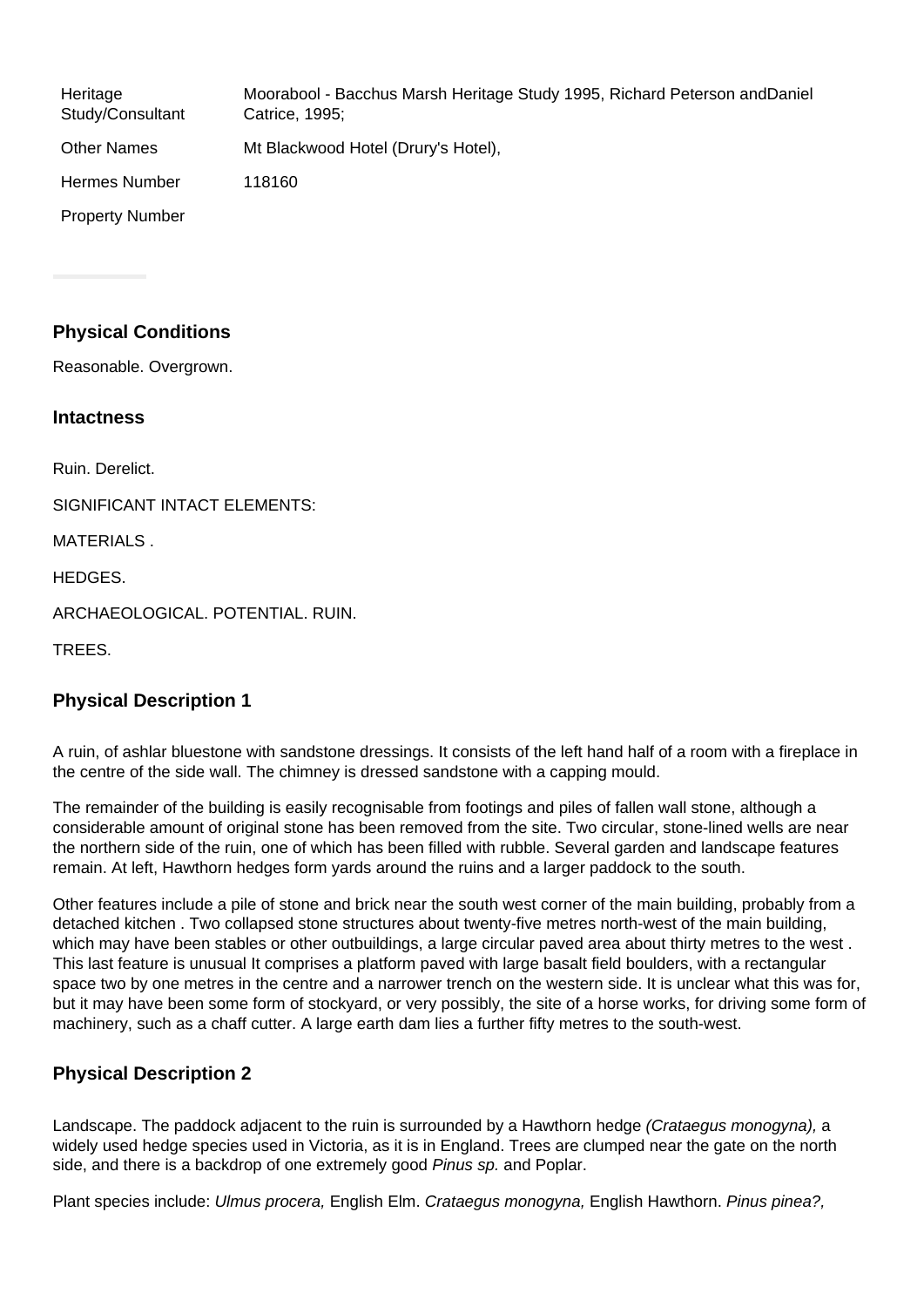| Heritage<br>Study/Consultant | Moorabool - Bacchus Marsh Heritage Study 1995, Richard Peterson and Daniel<br>Catrice, 1995; |
|------------------------------|----------------------------------------------------------------------------------------------|
| <b>Other Names</b>           | Mt Blackwood Hotel (Drury's Hotel),                                                          |
| Hermes Number                | 118160                                                                                       |
| <b>Property Number</b>       |                                                                                              |

# **Physical Conditions**

Reasonable. Overgrown.

#### **Intactness**

Ruin. Derelict.

SIGNIFICANT INTACT ELEMENTS:

MATERIALS

HEDGES.

ARCHAEOLOGICAL. POTENTIAL. RUIN.

TREES.

### **Physical Description 1**

A ruin, of ashlar bluestone with sandstone dressings. It consists of the left hand half of a room with a fireplace in the centre of the side wall. The chimney is dressed sandstone with a capping mould.

The remainder of the building is easily recognisable from footings and piles of fallen wall stone, although a considerable amount of original stone has been removed from the site. Two circular, stone-lined wells are near the northern side of the ruin, one of which has been filled with rubble. Several garden and landscape features remain. At left, Hawthorn hedges form yards around the ruins and a larger paddock to the south.

Other features include a pile of stone and brick near the south west corner of the main building, probably from a detached kitchen . Two collapsed stone structures about twenty-five metres north-west of the main building, which may have been stables or other outbuildings, a large circular paved area about thirty metres to the west. This last feature is unusual It comprises a platform paved with large basalt field boulders, with a rectangular space two by one metres in the centre and a narrower trench on the western side. It is unclear what this was for, but it may have been some form of stockyard, or very possibly, the site of a horse works, for driving some form of machinery, such as a chaff cutter. A large earth dam lies a further fifty metres to the south-west.

# **Physical Description 2**

Landscape. The paddock adjacent to the ruin is surrounded by a Hawthorn hedge (Crataegus monogyna), a widely used hedge species used in Victoria, as it is in England. Trees are clumped near the gate on the north side, and there is a backdrop of one extremely good Pinus sp. and Poplar.

Plant species include: Ulmus procera, English Elm. Crataegus monogyna, English Hawthorn. Pinus pinea?,